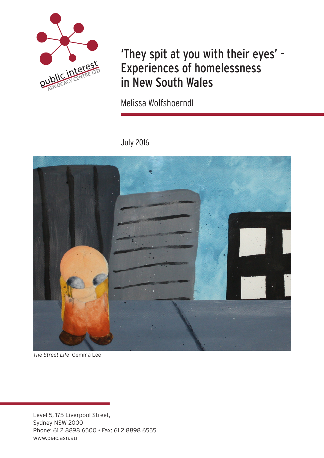

# 'They spit at you with their eyes' - Experiences of homelessness in New South Wales

Melissa Wolfshoerndl

July 2016



*The Street Life* Gemma Lee

Level 5, 175 Liverpool Street, Sydney NSW 2000 Phone: 61 2 8898 6500 • Fax: 61 2 8898 6555 www.piac.asn.au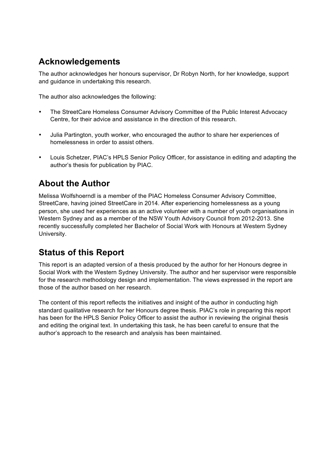# **Acknowledgements**

The author acknowledges her honours supervisor, Dr Robyn North, for her knowledge, support and guidance in undertaking this research.

The author also acknowledges the following:

- The StreetCare Homeless Consumer Advisory Committee of the Public Interest Advocacy Centre, for their advice and assistance in the direction of this research.
- Julia Partington, youth worker, who encouraged the author to share her experiences of homelessness in order to assist others.
- Louis Schetzer, PIAC's HPLS Senior Policy Officer, for assistance in editing and adapting the author's thesis for publication by PIAC.

# **About the Author**

Melissa Wolfshoerndl is a member of the PIAC Homeless Consumer Advisory Committee, StreetCare, having joined StreetCare in 2014. After experiencing homelessness as a young person, she used her experiences as an active volunteer with a number of youth organisations in Western Sydney and as a member of the NSW Youth Advisory Council from 2012-2013. She recently successfully completed her Bachelor of Social Work with Honours at Western Sydney University.

### **Status of this Report**

This report is an adapted version of a thesis produced by the author for her Honours degree in Social Work with the Western Sydney University. The author and her supervisor were responsible for the research methodology design and implementation. The views expressed in the report are those of the author based on her research.

The content of this report reflects the initiatives and insight of the author in conducting high standard qualitative research for her Honours degree thesis. PIAC's role in preparing this report has been for the HPLS Senior Policy Officer to assist the author in reviewing the original thesis and editing the original text. In undertaking this task, he has been careful to ensure that the author's approach to the research and analysis has been maintained.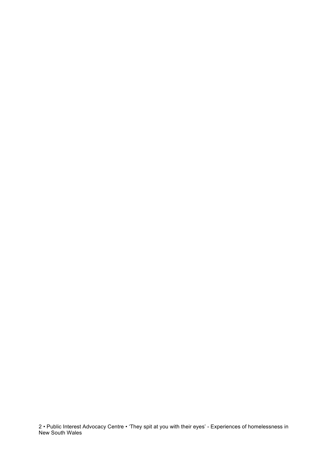2 • Public Interest Advocacy Centre • 'They spit at you with their eyes' - Experiences of homelessness in New South Wales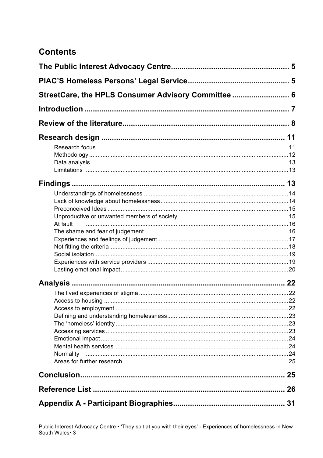# **Contents**

| StreetCare, the HPLS Consumer Advisory Committee  6 |  |
|-----------------------------------------------------|--|
|                                                     |  |
|                                                     |  |
|                                                     |  |
|                                                     |  |
|                                                     |  |
|                                                     |  |
|                                                     |  |
|                                                     |  |
|                                                     |  |
|                                                     |  |
|                                                     |  |
|                                                     |  |
| At fault                                            |  |
|                                                     |  |
|                                                     |  |
|                                                     |  |
|                                                     |  |
|                                                     |  |
|                                                     |  |
|                                                     |  |
|                                                     |  |
|                                                     |  |
|                                                     |  |
|                                                     |  |
|                                                     |  |
|                                                     |  |
| Normality                                           |  |
|                                                     |  |
|                                                     |  |
|                                                     |  |
|                                                     |  |
|                                                     |  |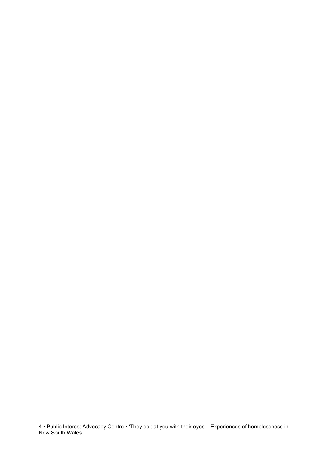4 • Public Interest Advocacy Centre • 'They spit at you with their eyes' - Experiences of homelessness in New South Wales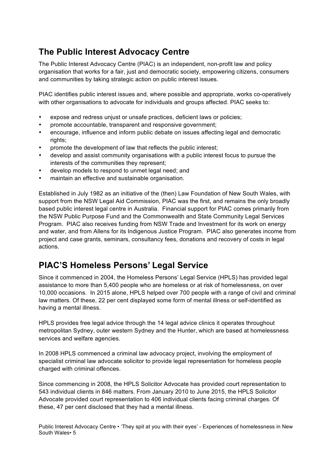# **The Public Interest Advocacy Centre**

The Public Interest Advocacy Centre (PIAC) is an independent, non-profit law and policy organisation that works for a fair, just and democratic society, empowering citizens, consumers and communities by taking strategic action on public interest issues.

PIAC identifies public interest issues and, where possible and appropriate, works co-operatively with other organisations to advocate for individuals and groups affected. PIAC seeks to:

- expose and redress unjust or unsafe practices, deficient laws or policies;
- promote accountable, transparent and responsive government;
- encourage, influence and inform public debate on issues affecting legal and democratic rights;
- promote the development of law that reflects the public interest;
- develop and assist community organisations with a public interest focus to pursue the interests of the communities they represent;
- develop models to respond to unmet legal need; and
- maintain an effective and sustainable organisation.

Established in July 1982 as an initiative of the (then) Law Foundation of New South Wales, with support from the NSW Legal Aid Commission, PIAC was the first, and remains the only broadly based public interest legal centre in Australia. Financial support for PIAC comes primarily from the NSW Public Purpose Fund and the Commonwealth and State Community Legal Services Program. PIAC also receives funding from NSW Trade and Investment for its work on energy and water, and from Allens for its Indigenous Justice Program. PIAC also generates income from project and case grants, seminars, consultancy fees, donations and recovery of costs in legal actions.

### **PIAC'S Homeless Persons' Legal Service**

Since it commenced in 2004, the Homeless Persons' Legal Service (HPLS) has provided legal assistance to more than 5,400 people who are homeless or at risk of homelessness, on over 10,000 occasions. In 2015 alone, HPLS helped over 700 people with a range of civil and criminal law matters. Of these, 22 per cent displayed some form of mental illness or self-identified as having a mental illness.

HPLS provides free legal advice through the 14 legal advice clinics it operates throughout metropolitan Sydney, outer western Sydney and the Hunter, which are based at homelessness services and welfare agencies.

In 2008 HPLS commenced a criminal law advocacy project, involving the employment of specialist criminal law advocate solicitor to provide legal representation for homeless people charged with criminal offences.

Since commencing in 2008, the HPLS Solicitor Advocate has provided court representation to 543 individual clients in 846 matters. From January 2010 to June 2015, the HPLS Solicitor Advocate provided court representation to 406 individual clients facing criminal charges. Of these, 47 per cent disclosed that they had a mental illness.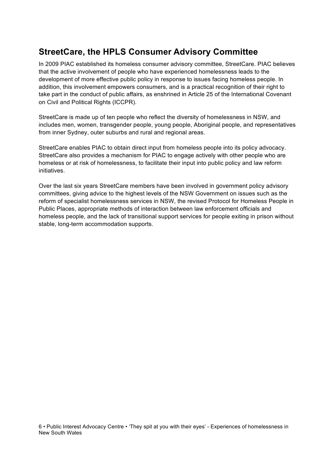## **StreetCare, the HPLS Consumer Advisory Committee**

In 2009 PIAC established its homeless consumer advisory committee, StreetCare. PIAC believes that the active involvement of people who have experienced homelessness leads to the development of more effective public policy in response to issues facing homeless people. In addition, this involvement empowers consumers, and is a practical recognition of their right to take part in the conduct of public affairs, as enshrined in Article 25 of the International Covenant on Civil and Political Rights (ICCPR).

StreetCare is made up of ten people who reflect the diversity of homelessness in NSW, and includes men, women, transgender people, young people, Aboriginal people, and representatives from inner Sydney, outer suburbs and rural and regional areas.

StreetCare enables PIAC to obtain direct input from homeless people into its policy advocacy. StreetCare also provides a mechanism for PIAC to engage actively with other people who are homeless or at risk of homelessness, to facilitate their input into public policy and law reform initiatives.

Over the last six years StreetCare members have been involved in government policy advisory committees, giving advice to the highest levels of the NSW Government on issues such as the reform of specialist homelessness services in NSW, the revised Protocol for Homeless People in Public Places, appropriate methods of interaction between law enforcement officials and homeless people, and the lack of transitional support services for people exiting in prison without stable, long-term accommodation supports.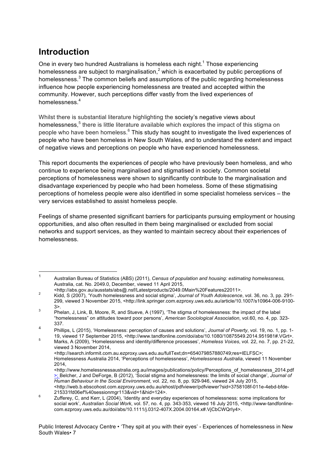# **Introduction**

One in every two hundred Australians is homeless each night.<sup>1</sup> Those experiencing homelessness are subject to marginalisation.<sup>2</sup> which is exacerbated by public perceptions of homelessness.<sup>3</sup> The common beliefs and assumptions of the public regarding homelessness influence how people experiencing homelessness are treated and accepted within the community. However, such perceptions differ vastly from the lived experiences of homelessness.<sup>4</sup>

Whilst there is substantial literature highlighting the society's negative views about homelessness,<sup>5</sup> there is little literature available which explores the impact of this stigma on people who have been homeless.<sup>6</sup> This study has sought to investigate the lived experiences of people who have been homeless in New South Wales, and to understand the extent and impact of negative views and perceptions on people who have experienced homelessness.

This report documents the experiences of people who have previously been homeless, and who continue to experience being marginalised and stigmatised in society. Common societal perceptions of homelessness were shown to significantly contribute to the marginalisation and disadvantage experienced by people who had been homeless. Some of these stigmatising perceptions of homeless people were also identified in some specialist homeless services – the very services established to assist homeless people.

Feelings of shame presented significant barriers for participants pursuing employment or housing opportunities, and also often resulted in them being marginalised or excluded from social networks and support services, as they wanted to maintain secrecy about their experiences of homelessness.

 <sup>1</sup> Australian Bureau of Statistics (ABS) (2011), *Census of population and housing: estimating homelessness,* Australia, cat. No. 2049.0, December, viewed 11 April 2015,<br><http://abs.gov.au/ausstats/abs@.nsf/Latestproducts/2049.0Main%20Features22011>.

<sup>&</sup>lt;http://abs.gov.au/ausstats/abs@.nsf/Latestproducts/2049.0Main%20Features22011>. <sup>2</sup> Kidd, S (2007), 'Youth homelessness and social stigma', *Journal of Youth Adolescence*, vol. 36, no. 3, pp. 291- 299, viewed 3 November 2015, <http://link.springer.com.ezproxy.uws.edu.au/article/10.1007/s10964-006-9100- 3>.<br>
3 Phelan, J, Link, B, Moore, R, and Stueve, A (1997), 'The stigma of homelessness: the impact of the label

<sup>&</sup>quot;homelessness" on attitudes toward poor persons', *American Sociological Association*, vol.60, no. 4, pp. 323- 337.

<sup>4</sup> Phillips, L (2015), 'Homelessness: perception of causes and solutions', *Journal of Poverty*, vol. 19, no. 1, pp. 1-

<sup>19,</sup> viewed 11 September 2015, implementation methods absorber 2016 10.1097.1097.10976.<br>Marks, A (2009), 'Homelessness and identity/difference processes', *Homeless Voices*, vol. 22, no. 7, pp. 21-22, viewed 3 November 2014, <http://search.informit.com.au.ezproxy.uws.edu.au/fullText;dn=654079857880749;res=IELFSC>; Homelessness Australia 2014, 'Perceptions of homelessness', *Homelessness Australia*, viewed 11 November 2014,

<sup>&</sup>lt;http://www.homelessnessaustralia.org.au/images/publications/policy/Perceptions\_of\_homelessness\_2014.pdf >; Belcher, J and DeForge, B (2012), 'Social stigma and homelessness: the limits of social change', *Journal of Human Behaviour in the Social Environment*, vol. 22, no. 8, pp. 929-946, viewed 24 July 2015, <http://web.b.ebscohost.com.ezproxy.uws.edu.au/ehost/pdfviewer/pdfviewer?sid=3758108f-011e-4ebd-bfde-

<sup>215331</sup>fd06ef%40sessionmgr113&vid=1&hid=124>.<br><sup>6</sup> Zufferey, C, and Kerr, L (2004), 'Identity and everyday experiences of homelessness: some implications for social work', *Australian Social Work*, vol. 57, no. 4, pp. 343-353, viewed 16 July 2015, <http://www-tandfonlinecom.ezproxy.uws.edu.au/doi/abs/10.1111/j.0312-407X.2004.00164.x#.VjCbCWQrIy4>.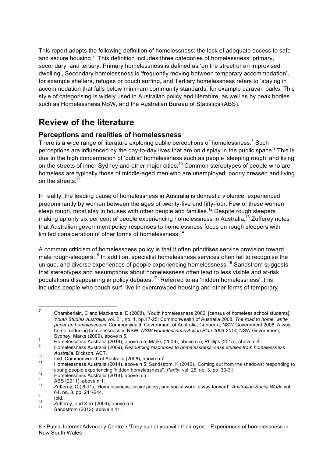This report adopts the following definition of homelessness: the lack of adequate access to safe and secure housing.<sup>7</sup> This definition includes three categories of homelessness: primary, secondary, and tertiary. Primary homelessness is defined as 'on the street or an improvised dwelling', Secondary homelessness is 'frequently moving between temporary accommodation', for example shelters, refuges or couch surfing, and Tertiary homelessness refers to 'staying in accommodation that falls below minimum community standards, for example caravan parks. This style of categorising is widely used in Australian policy and literature, as well as by peak bodies such as Homelessness NSW, and the Australian Bureau of Statistics (ABS).

### **Review of the literature**

#### **Perceptions and realities of homelessness**

There is a wide range of literature exploring public perceptions of homelessness.<sup>8</sup> Such perceptions are influenced by the day-to-day lives that are on display in the public space.<sup>9</sup> This is due to the high concentration of 'public' homelessness such as people 'sleeping rough' and living on the streets of inner Sydney and other major cities.<sup>10</sup> Common stereotypes of people who are homeless are typically those of middle-aged men who are unemployed, poorly dressed and living on the streets.<sup>11</sup>

In reality, the leading cause of homelessness in Australia is domestic violence, experienced predominantly by women between the ages of twenty-five and fifty-four. Few of these women sleep rough, most stay in houses with other people and families.<sup>12</sup> Despite rough sleepers making up only six per cent of people experiencing homelessness in Australia,<sup>13</sup> Zufferey notes that Australian government policy responses to homelessness focus on rough sleepers with limited consideration of other forms of homelessness.<sup>14</sup>

A common criticism of homelessness policy is that it often prioritises service provision toward male rough-sleepers.<sup>15</sup> In addition, specialist homelessness services often fail to recognise the unique, and diverse experiences of people experiencing homelessness.<sup>16</sup> Sandstrom suggests that stereotypes and assumptions about homelessness often lead to less visible and at-risk populations disappearing in policy debates.<sup>17</sup> Referred to as 'hidden homelessness', this includes people who couch surf, live in overcrowded housing and other forms of temporary

 <sup>7</sup> Chamberlain, C and Mackenzie, D (2008), 'Youth homelessness 2006: [census of homeless school students], *Youth Studies Australia*, vol. 21, no. 1, pp.17-25; Commonwealth of Australia 2008, *The road to home, white paper on homelessness*, Commonwealth Government of Australia, Canberra; NSW Government 2008, A way home: reducing homelessness in NSW, *NSW Homelessness Action Plan 2009-2014*, NSW Government, Sydney; Marks (2009), above n 5.<br>Homelessness Australia (2014), above n 5; Marks (2009), above n 5; Phillips (2015), above n 4.,<br>Homelessness Australia (2009), Resourcing responses to homelessness: case studies from homele

*Australia*, Dickson, ACT.<br><sup>10</sup> Ibid; Commonwealth of Australia (2008), above n 7.<br><sup>11</sup> Homelessness Australia (2014), above n 5; Sandstrom, K (2012), 'Coming out from the shadows: responding to

young people experiencing 'hidden homelessness", Parity, vol. 25, no. 3, pp. 30-31.<br>
Homelessness Australia (2014), above n 5.<br>
ABS (2011), above n 1.<br>
Zufferey, C (2011), 'Homelessness, social policy, and social work: a w

<sup>&</sup>lt;sup>15</sup> Ibid. 16  $\frac{1}{16}$  Ibid.<br>
2ufferey, and Kerr (2004), above n 6.<br>
<sup>17</sup> Sandstrom (2012), above n 11.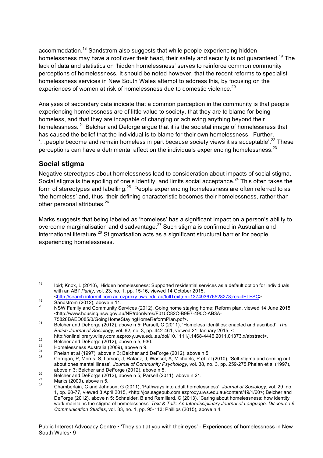accommodation.<sup>18</sup> Sandstrom also suggests that while people experiencing hidden homelessness may have a roof over their head, their safety and security is not quaranteed.<sup>19</sup> The lack of data and statistics on 'hidden homelessness' serves to reinforce common community perceptions of homelessness. It should be noted however, that the recent reforms to specialist homelessness services in New South Wales attempt to address this, by focusing on the experiences of women at risk of homelessness due to domestic violence.<sup>20</sup>

Analyses of secondary data indicate that a common perception in the community is that people experiencing homelessness are of little value to society, that they are to blame for being homeless, and that they are incapable of changing or achieving anything beyond their homelessness. <sup>21</sup> Belcher and Deforge argue that it is the societal image of homelessness that has caused the belief that the individual is to blame for their own homelessness. Further, ... people become and remain homeless in part because society views it as acceptable'.<sup>22</sup> These perceptions can have a detrimental affect on the individuals experiencing homelessness.<sup>23</sup>

### **Social stigma**

Negative stereotypes about homelessness lead to consideration about impacts of social stigma. Social stigma is the spoiling of one's identity, and limits social acceptance.<sup>24</sup> This often takes the form of stereotypes and labelling.<sup>25</sup> People experiencing homelessness are often referred to as 'the homeless' and, thus, their defining characteristic becomes their homelessness, rather than other personal attributes.<sup>26</sup>

Marks suggests that being labeled as 'homeless' has a significant impact on a person's ability to overcome marginalisation and disadvantage. $^{27}$  Such stigma is confirmed in Australian and international literature.<sup>28</sup> Stigmatisation acts as a significant structural barrier for people experiencing homelessness.

<sup>&</sup>lt;sup>18</sup> Ibid; Knox, L (2010), 'Hidden homelessness: Supported residential services as a default option for individuals with an ABI' *Parity*, vol. 23, no. 1, pp. 15-16, viewed 14 October 2015,<br><http://search.informit.com.au.ezproxy.uws.edu.au/fullText;dn=137493676528278;res=IELFSC>.

Sandstrom (2012), above n 11.<br><sup>20</sup> NSW Family and Community Services (2012), Going home staying home: Reform plan, viewed 14 June 2015, <http://www.housing.nsw.gov.au/NR/rdonlyres/F015C82C-B9E7-490C-AB3A-

<sup>75828</sup>BAED085/0/GoingHomeStayingHomeReformPlan.pdf>. <sup>21</sup> Belcher and DeForge (2012), above n 5; Parsell, C (2011), 'Homeless identities: enacted and ascribed', *The British Journal of Sociology*, vol. 62, no. 3, pp. 442-461, viewed 21 January 2015, <

Electric and DeForge (2012), above n 5, 930.<br>
Homelessness Australia (2009), above n 9.<br>
Phelan et al (1997), above n 3; Belcher and DeForge (2012), above n 5.<br>
Corrigan, P, Morris, S, Larson, J, Rafacz, J, Wassel, A, Mich about ones mental illness', *Journal of Community Psychology*, vol. 38, no. 3, pp. 259-275.Phelan et al (1997),

above n 3; Belcher and DeForge (2012), above n 5.<br>
Belcher and DeForge (2012), above n 5; Parsell (2011), above n 21.<br>
<sup>27</sup> Marks (2009), above n 5.<br>
Chamberlain, C and Johnson, G (2011), 'Pathways into adult homelessness' 1, pp. 60-77, viewed 8 April 2015, <http://jos.sagepub.com.ezproxy.uws.edu.au/content/49/1/60>; Belcher and DeForge (2012), above n 5; Schneider, B and Remillard, C (2013), 'Caring about homelessness: how identity work maintains the stigma of homelessness' *Text & Talk: An Interdisciplinary Journal of Language, Discourse & Communication Studies*, vol. 33, no. 1, pp. 95-113; Phillips (2015), above n 4.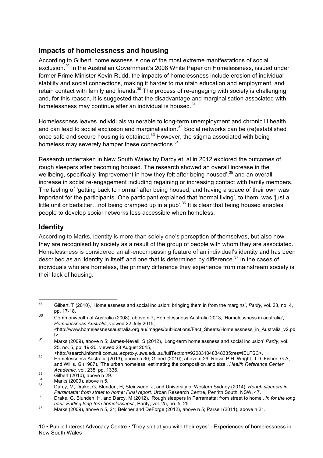#### **Impacts of homelessness and housing**

According to Gilbert, homelessness is one of the most extreme manifestations of social exclusion.<sup>29</sup> In the Australian Government's 2008 White Paper on Homelessness, issued under former Prime Minister Kevin Rudd, the impacts of homelessness include erosion of individual stability and social connections, making it harder to maintain education and employment, and retain contact with family and friends.<sup>30</sup> The process of re-engaging with society is challenging and, for this reason, it is suggested that the disadvantage and marginalisation associated with homelessness may continue after an individual is housed. $31$ 

Homelessness leaves individuals vulnerable to long-term unemployment and chronic ill health and can lead to social exclusion and marginalisation.<sup>32</sup> Social networks can be (re)established once safe and secure housing is obtained. $^{33}$  However, the stigma associated with being homeless may severely hamper these connections.<sup>34</sup>

Research undertaken in New South Wales by Darcy et. al in 2012 explored the outcomes of rough sleepers after becoming housed. The research showed an overall increase in the wellbeing, specifically 'improvement in how they felt after being housed',<sup>35</sup> and an overall increase in social re-engagement including regaining or increasing contact with family members. The feeling of 'getting back to normal' after being housed, and having a space of their own was important for the participants. One participant explained that 'normal living', to them, was 'just a little unit or bedsitter...not being cramped up in a pub'.<sup>36</sup> It is clear that being housed enables people to develop social networks less accessible when homeless.

#### **Identity**

According to Marks, identity is more than solely one's perception of themselves, but also how they are recognised by society as a result of the group of people with whom they are associated. Homelessness is considered an all-encompassing feature of an individual's identity and has been described as an 'identity in itself' and one that is determined by difference.<sup>37</sup> In the cases of individuals who are homeless, the primary difference they experience from mainstream society is their lack of housing.

 <sup>29</sup> Gilbert, T (2010), 'Homelessness and social inclusion: bringing them in from the margins', *Parity*, vol. 23, no. 4,

pp. 17-18.<br><sup>30</sup> Commonwealth of Australia (2008), above n 7; Homelessness Australia 2013, 'Homelessness in australia', *Homelessness Australia*, viewed 22 July 2015,

<sup>&</sup>lt;http://www.homelessnessaustralia.org.au/images/publications/Fact\_Sheets/Homelessness\_in\_Australia\_v2.pd f>.

<sup>31</sup> Marks (2009), above n 5; James-Nevell, S (2012), 'Long-term homelessness and social inclusion' *Parity*, vol. 25, no. 5, pp. 19-20, viewed 28 August 2015,

the metaster communication. Exercises Australia. Exercises auxilian computations and the season of the reserve <br>32 Homelessness Australia (2013), above n 30; Gilbert (2010), above n 29; Rossi, P H, Wright, J D, Fisher, G A and Willis, G (1987), 'The urban homeless: estimating the composition and size', *Health Reference Center* 

Academic, vol. 235, pp. 1336.<br>
Gilbert (2010), above n 29.<br>
Marks (2009), above n 5.<br>
Darcy, M, Drake, G, Blunden, H, Steinwede, J, and University of Western Sydney (2014), *Rough sleepers in* 

*Parramatta: from street to home: Final report,* Urban Research Centre, Penrith South, NSW, 47.<br>36 Drake, G, Blunden, H, and Darcy, M (2012), 'Rough sleepers in Parramatta: from street to home', *In for the long haul: Endi* 

*haul: Ending long-tern homelessness*, Parity, vol. 25, no. 5, 25. <sup>37</sup> Marks (2009), above n 5, 21; Belcher and DeForge (2012), above n 5; Parsell (2011), above n 21.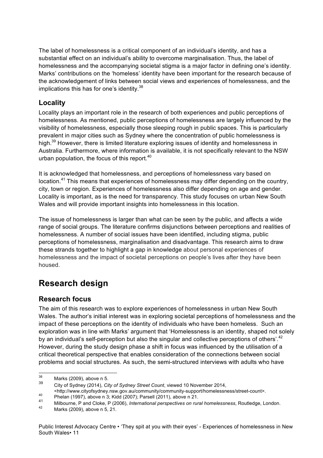The label of homelessness is a critical component of an individual's identity, and has a substantial effect on an individual's ability to overcome marginalisation. Thus, the label of homelessness and the accompanying societal stigma is a major factor in defining one's identity. Marks' contributions on the 'homeless' identity have been important for the research because of the acknowledgement of links between social views and experiences of homelessness, and the implications this has for one's identity.<sup>38</sup>

### **Locality**

Locality plays an important role in the research of both experiences and public perceptions of homelessness. As mentioned, public perceptions of homelessness are largely influenced by the visibility of homelessness, especially those sleeping rough in public spaces. This is particularly prevalent in major cities such as Sydney where the concentration of public homelessness is high.<sup>39</sup> However, there is limited literature exploring issues of identity and homelessness in Australia. Furthermore, where information is available, it is not specifically relevant to the NSW urban population, the focus of this report. 40

It is acknowledged that homelessness, and perceptions of homelessness vary based on location.<sup>41</sup> This means that experiences of homelessness may differ depending on the country, city, town or region. Experiences of homelessness also differ depending on age and gender. Locality is important, as is the need for transparency. This study focuses on urban New South Wales and will provide important insights into homelessness in this location.

The issue of homelessness is larger than what can be seen by the public, and affects a wide range of social groups. The literature confirms disjunctions between perceptions and realities of homelessness. A number of social issues have been identified, including stigma, public perceptions of homelessness, marginalisation and disadvantage. This research aims to draw these strands together to highlight a gap in knowledge about personal experiences of homelessness and the impact of societal perceptions on people's lives after they have been housed.

# **Research design**

### **Research focus**

The aim of this research was to explore experiences of homelessness in urban New South Wales. The author's initial interest was in exploring societal perceptions of homelessness and the impact of these perceptions on the identity of individuals who have been homeless. Such an exploration was in line with Marks' argument that 'Homelessness is an identity, shaped not solely by an individual's self-perception but also the singular and collective perceptions of others'.<sup>42</sup> However, during the study design phase a shift in focus was influenced by the utilisation of a critical theoretical perspective that enables consideration of the connections between social problems and social structures. As such, the semi-structured interviews with adults who have

<sup>&</sup>lt;sup>38</sup> Marks (2009), above n 5.<br><sup>39</sup> City of Sydney (2014), *City of Sydney Street Count*, viewed 10 November 2014,

<sup>&</sup>lt;http://www.cityofsydney.nsw.gov.au/community/community-support/homelessness/street-count>. <sup>40</sup> Phelan (1997), above n 3; Kidd (2007); Parsell (2011), above n 21.

<sup>41</sup> Milbourne, P and Cloke, P (2006), *International perspectives on rural homelessness*, Routledge, London. <sup>42</sup> Marks (2009), above n 5, 21.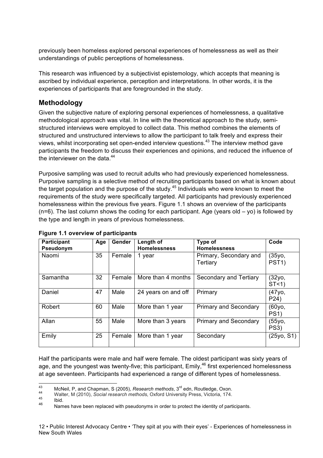previously been homeless explored personal experiences of homelessness as well as their understandings of public perceptions of homelessness.

This research was influenced by a subjectivist epistemology, which accepts that meaning is ascribed by individual experience, perception and interpretations. In other words, it is the experiences of participants that are foregrounded in the study.

### **Methodology**

Given the subjective nature of exploring personal experiences of homelessness, a qualitative methodological approach was vital. In line with the theoretical approach to the study, semistructured interviews were employed to collect data. This method combines the elements of structured and unstructured interviews to allow the participant to talk freely and express their views, whilst incorporating set open-ended interview questions.<sup>43</sup> The interview method gave participants the freedom to discuss their experiences and opinions, and reduced the influence of the interviewer on the data. $44$ 

Purposive sampling was used to recruit adults who had previously experienced homelessness. Purposive sampling is a selective method of recruiting participants based on what is known about the target population and the purpose of the study.<sup>45</sup> Individuals who were known to meet the requirements of the study were specifically targeted. All participants had previously experienced homelessness within the previous five years. Figure 1.1 shows an overview of the participants  $(n=6)$ . The last column shows the coding for each participant. Age (years old – yo) is followed by the type and length in years of previous homelessness.

| <b>Participant</b><br>Pseudonym | Age | Gender | Length of<br><b>Homelessness</b> | Type of<br><b>Homelessness</b>     | Code                       |
|---------------------------------|-----|--------|----------------------------------|------------------------------------|----------------------------|
| Naomi                           | 35  | Female | 1 year                           | Primary, Secondary and<br>Tertiary | (35уо,<br>PST <sub>1</sub> |
| Samantha                        | 32  | Female | More than 4 months               | Secondary and Tertiary             | (32yo,<br>ST<1             |
| Daniel                          | 47  | Male   | 24 years on and off              | Primary                            | (47yo,<br>P24)             |
| Robert                          | 60  | Male   | More than 1 year                 | <b>Primary and Secondary</b>       | (60yo,<br><b>PS1)</b>      |
| Allan                           | 55  | Male   | More than 3 years                | <b>Primary and Secondary</b>       | (55уо,<br>PS3)             |
| Emily                           | 25  | Female | More than 1 year                 | Secondary                          | (25y0, S1)                 |

#### **Figure 1.1 overview of participants**

Half the participants were male and half were female. The oldest participant was sixty years of age, and the youngest was twenty-five; this participant, Emily,<sup>46</sup> first experienced homelessness at age seventeen. Participants had experienced a range of different types of homelessness.

<sup>43</sup> McNeil, P, and Chapman, S (2005), *Research methods*, 3<sup>rd</sup> edn, Routledge, Oxon.<br>44 Walter, M (2010), *Social research methods*, Oxford University Press, Victoria, 174.<br>46 Ibid.

Names have been replaced with pseudonyms in order to protect the identity of participants.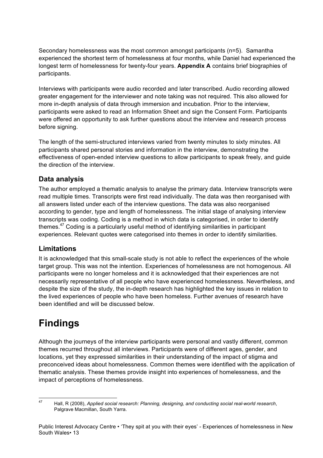Secondary homelessness was the most common amongst participants (n=5). Samantha experienced the shortest term of homelessness at four months, while Daniel had experienced the longest term of homelessness for twenty-four years. **Appendix A** contains brief biographies of participants.

Interviews with participants were audio recorded and later transcribed. Audio recording allowed greater engagement for the interviewer and note taking was not required. This also allowed for more in-depth analysis of data through immersion and incubation. Prior to the interview, participants were asked to read an Information Sheet and sign the Consent Form. Participants were offered an opportunity to ask further questions about the interview and research process before signing.

The length of the semi-structured interviews varied from twenty minutes to sixty minutes. All participants shared personal stories and information in the interview, demonstrating the effectiveness of open-ended interview questions to allow participants to speak freely, and guide the direction of the interview.

### **Data analysis**

The author employed a thematic analysis to analyse the primary data. Interview transcripts were read multiple times. Transcripts were first read individually. The data was then reorganised with all answers listed under each of the interview questions. The data was also reorganised according to gender, type and length of homelessness. The initial stage of analysing interview transcripts was coding. Coding is a method in which data is categorised, in order to identify themes.<sup>47</sup> Coding is a particularly useful method of identifying similarities in participant experiences. Relevant quotes were categorised into themes in order to identify similarities.

### **Limitations**

It is acknowledged that this small-scale study is not able to reflect the experiences of the whole target group. This was not the intention. Experiences of homelessness are not homogenous. All participants were no longer homeless and it is acknowledged that their experiences are not necessarily representative of all people who have experienced homelessness. Nevertheless, and despite the size of the study, the in-depth research has highlighted the key issues in relation to the lived experiences of people who have been homeless. Further avenues of research have been identified and will be discussed below.

# **Findings**

Although the journeys of the interview participants were personal and vastly different, common themes recurred throughout all interviews. Participants were of different ages, gender, and locations, yet they expressed similarities in their understanding of the impact of stigma and preconceived ideas about homelessness. Common themes were identified with the application of thematic analysis. These themes provide insight into experiences of homelessness, and the impact of perceptions of homelessness.

 <sup>47</sup> Hall, R (2008), *Applied social research: Planning, designing, and conducting social real-world research*, Palgrave Macmillan, South Yarra.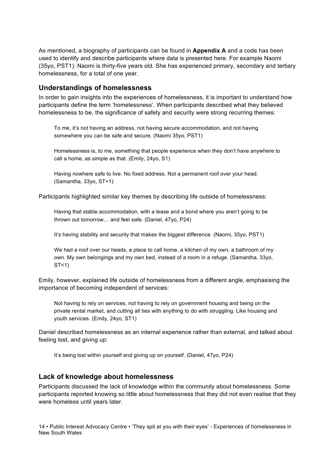As mentioned, a biography of participants can be found in **Appendix A** and a code has been used to identify and describe participants where data is presented here. For example Naomi (35yo, PST1): Naomi is thirty-five years old. She has experienced primary, secondary and tertiary homelessness, for a total of one year.

#### **Understandings of homelessness**

In order to gain insights into the experiences of homelessness, it is important to understand how participants define the term 'homelessness'. When participants described what they believed homelessness to be, the significance of safety and security were strong recurring themes:

To me, it's not having an address, not having secure accommodation, and not having somewhere you can be safe and secure. (Naomi 35yo, PST1)

Homelessness is, to me, something that people experience when they don't have anywhere to call a home, as simple as that. (Emily, 24yo, S1)

Having nowhere safe to live. No fixed address. Not a permanent roof over your head. (Samantha, 33yo, ST<1)

Participants highlighted similar key themes by describing life outside of homelessness:

Having that stable accommodation, with a lease and a bond where you aren't going to be thrown out tomorrow… and feel safe. (Daniel, 47yo, P24)

It's having stability and security that makes the biggest difference. (Naomi, 35yo, PST1)

We had a roof over our heads, a place to call home, a kitchen of my own, a bathroom of my own. My own belongings and my own bed, instead of a room in a refuge. (Samantha, 33yo,  $ST < 1$ )

Emily, however, explained life outside of homelessness from a different angle, emphasising the importance of becoming independent of services:

Not having to rely on services, not having to rely on government housing and being on the private rental market, and cutting all ties with anything to do with struggling. Like housing and youth services. (Emily, 24yo, ST1)

Daniel described homelessness as an internal experience rather than external, and talked about feeling lost, and giving up:

It's being lost within yourself and giving up on yourself. (Daniel, 47yo, P24)

#### **Lack of knowledge about homelessness**

Participants discussed the lack of knowledge within the community about homelessness. Some participants reported knowing so little about homelessness that they did not even realise that they were homeless until years later.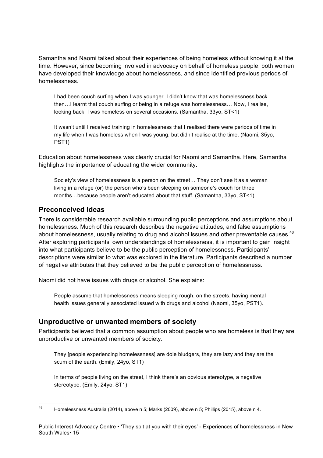Samantha and Naomi talked about their experiences of being homeless without knowing it at the time. However, since becoming involved in advocacy on behalf of homeless people, both women have developed their knowledge about homelessness, and since identified previous periods of homelessness.

I had been couch surfing when I was younger. I didn't know that was homelessness back then…I learnt that couch surfing or being in a refuge was homelessness… Now, I realise, looking back, I was homeless on several occasions. (Samantha, 33yo, ST<1)

It wasn't until I received training in homelessness that I realised there were periods of time in my life when I was homeless when I was young, but didn't realise at the time. (Naomi, 35yo, PST1)

Education about homelessness was clearly crucial for Naomi and Samantha. Here, Samantha highlights the importance of educating the wider community:

Society's view of homelessness is a person on the street… They don't see it as a woman living in a refuge (or) the person who's been sleeping on someone's couch for three months…because people aren't educated about that stuff. (Samantha, 33yo, ST<1)

#### **Preconceived Ideas**

There is considerable research available surrounding public perceptions and assumptions about homelessness. Much of this research describes the negative attitudes, and false assumptions about homelessness, usually relating to drug and alcohol issues and other preventable causes.<sup>48</sup> After exploring participants' own understandings of homelessness, it is important to gain insight into what participants believe to be the public perception of homelessness. Participants' descriptions were similar to what was explored in the literature. Participants described a number of negative attributes that they believed to be the public perception of homelessness.

Naomi did not have issues with drugs or alcohol. She explains:

People assume that homelessness means sleeping rough, on the streets, having mental health issues generally associated issued with drugs and alcohol (Naomi, 35yo, PST1).

#### **Unproductive or unwanted members of society**

Participants believed that a common assumption about people who are homeless is that they are unproductive or unwanted members of society:

They [people experiencing homelessness] are dole bludgers, they are lazy and they are the scum of the earth. (Emily, 24yo, ST1)

In terms of people living on the street, I think there's an obvious stereotype, a negative stereotype. (Emily, 24yo, ST1)

 <sup>48</sup> Homelessness Australia (2014), above n 5; Marks (2009), above n 5; Phillips (2015), above n 4.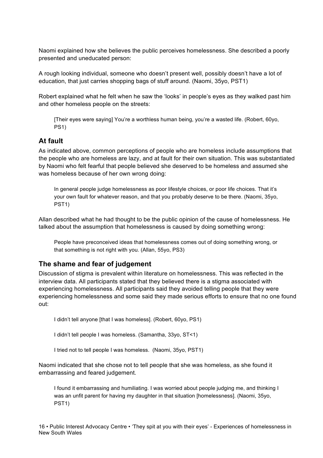Naomi explained how she believes the public perceives homelessness. She described a poorly presented and uneducated person:

A rough looking individual, someone who doesn't present well, possibly doesn't have a lot of education, that just carries shopping bags of stuff around. (Naomi, 35yo, PST1)

Robert explained what he felt when he saw the 'looks' in people's eyes as they walked past him and other homeless people on the streets:

[Their eyes were saying] You're a worthless human being, you're a wasted life. (Robert, 60yo, PS1)

#### **At fault**

As indicated above, common perceptions of people who are homeless include assumptions that the people who are homeless are lazy, and at fault for their own situation. This was substantiated by Naomi who felt fearful that people believed she deserved to be homeless and assumed she was homeless because of her own wrong doing:

In general people judge homelessness as poor lifestyle choices, or poor life choices. That it's your own fault for whatever reason, and that you probably deserve to be there. (Naomi, 35yo, PST1)

Allan described what he had thought to be the public opinion of the cause of homelessness. He talked about the assumption that homelessness is caused by doing something wrong:

People have preconceived ideas that homelessness comes out of doing something wrong, or that something is not right with you. (Allan, 55yo, PS3)

#### **The shame and fear of judgement**

Discussion of stigma is prevalent within literature on homelessness. This was reflected in the interview data. All participants stated that they believed there is a stigma associated with experiencing homelessness. All participants said they avoided telling people that they were experiencing homelessness and some said they made serious efforts to ensure that no one found out:

I didn't tell anyone [that I was homeless]. (Robert, 60yo, PS1)

I didn't tell people I was homeless. (Samantha, 33yo, ST<1)

I tried not to tell people I was homeless. (Naomi, 35yo, PST1)

Naomi indicated that she chose not to tell people that she was homeless, as she found it embarrassing and feared judgement.

I found it embarrassing and humiliating. I was worried about people judging me, and thinking I was an unfit parent for having my daughter in that situation [homelessness]. (Naomi, 35yo, PST1)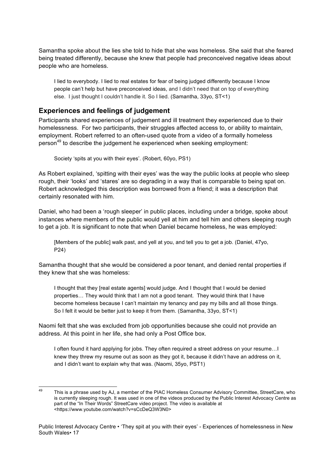Samantha spoke about the lies she told to hide that she was homeless. She said that she feared being treated differently, because she knew that people had preconceived negative ideas about people who are homeless.

I lied to everybody. I lied to real estates for fear of being judged differently because I know people can't help but have preconceived ideas, and I didn't need that on top of everything else. I just thought I couldn't handle it. So I lied. (Samantha, 33yo, ST<1)

#### **Experiences and feelings of judgement**

Participants shared experiences of judgement and ill treatment they experienced due to their homelessness. For two participants, their struggles affected access to, or ability to maintain, employment. Robert referred to an often-used quote from a video of a formally homeless person<sup>49</sup> to describe the judgement he experienced when seeking employment:

Society 'spits at you with their eyes'. (Robert, 60yo, PS1)

As Robert explained, 'spitting with their eyes' was the way the public looks at people who sleep rough, their 'looks' and 'stares' are so degrading in a way that is comparable to being spat on. Robert acknowledged this description was borrowed from a friend; it was a description that certainly resonated with him.

Daniel, who had been a 'rough sleeper' in public places, including under a bridge, spoke about instances where members of the public would yell at him and tell him and others sleeping rough to get a job. It is significant to note that when Daniel became homeless, he was employed:

[Members of the public] walk past, and yell at you, and tell you to get a job. (Daniel, 47yo, P24)

Samantha thought that she would be considered a poor tenant, and denied rental properties if they knew that she was homeless:

I thought that they [real estate agents] would judge. And I thought that I would be denied properties… They would think that I am not a good tenant. They would think that I have become homeless because I can't maintain my tenancy and pay my bills and all those things. So I felt it would be better just to keep it from them. (Samantha, 33yo, ST<1)

Naomi felt that she was excluded from job opportunities because she could not provide an address. At this point in her life, she had only a Post Office box.

I often found it hard applying for jobs. They often required a street address on your resume…I knew they threw my resume out as soon as they got it, because it didn't have an address on it, and I didn't want to explain why that was. (Naomi, 35yo, PST1)

<sup>&</sup>lt;sup>49</sup> This is a phrase used by AJ, a member of the PIAC Homeless Consumer Advisory Committee, StreetCare, who is currently sleeping rough. It was used in one of the videos produced by the Public Interest Advocacy Centre as part of the "In Their Words" StreetCare video project. The video is available at <https://www.youtube.com/watch?v=sCcDeQ3W3N0>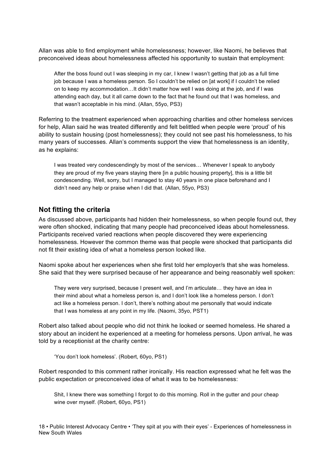Allan was able to find employment while homelessness; however, like Naomi, he believes that preconceived ideas about homelessness affected his opportunity to sustain that employment:

After the boss found out I was sleeping in my car, I knew I wasn't getting that job as a full time job because I was a homeless person. So I couldn't be relied on [at work] if I couldn't be relied on to keep my accommodation…It didn't matter how well I was doing at the job, and if I was attending each day, but it all came down to the fact that he found out that I was homeless, and that wasn't acceptable in his mind. (Allan, 55yo, PS3)

Referring to the treatment experienced when approaching charities and other homeless services for help, Allan said he was treated differently and felt belittled when people were 'proud' of his ability to sustain housing (post homelessness); they could not see past his homelessness, to his many years of successes. Allan's comments support the view that homelessness is an identity, as he explains:

I was treated very condescendingly by most of the services… Whenever I speak to anybody they are proud of my five years staying there [in a public housing property], this is a little bit condescending. Well, sorry, but I managed to stay 40 years in one place beforehand and I didn't need any help or praise when I did that. (Allan, 55yo, PS3)

#### **Not fitting the criteria**

As discussed above, participants had hidden their homelessness, so when people found out, they were often shocked, indicating that many people had preconceived ideas about homelessness. Participants received varied reactions when people discovered they were experiencing homelessness. However the common theme was that people were shocked that participants did not fit their existing idea of what a homeless person looked like.

Naomi spoke about her experiences when she first told her employer/s that she was homeless. She said that they were surprised because of her appearance and being reasonably well spoken:

They were very surprised, because I present well, and I'm articulate… they have an idea in their mind about what a homeless person is, and I don't look like a homeless person. I don't act like a homeless person. I don't, there's nothing about me personally that would indicate that I was homeless at any point in my life. (Naomi, 35yo, PST1)

Robert also talked about people who did not think he looked or seemed homeless. He shared a story about an incident he experienced at a meeting for homeless persons. Upon arrival, he was told by a receptionist at the charity centre:

'You don't look homeless'. (Robert, 60yo, PS1)

Robert responded to this comment rather ironically. His reaction expressed what he felt was the public expectation or preconceived idea of what it was to be homelessness:

Shit, I knew there was something I forgot to do this morning. Roll in the gutter and pour cheap wine over myself. (Robert, 60yo, PS1)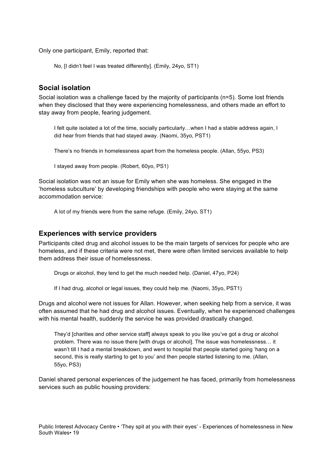Only one participant, Emily, reported that:

No, [I didn't feel I was treated differently]. (Emily, 24yo, ST1)

#### **Social isolation**

Social isolation was a challenge faced by the majority of participants (n=5). Some lost friends when they disclosed that they were experiencing homelessness, and others made an effort to stay away from people, fearing judgement.

I felt quite isolated a lot of the time, socially particularly...when I had a stable address again, I did hear from friends that had stayed away. (Naomi, 35yo, PST1)

There's no friends in homelessness apart from the homeless people. (Allan, 55yo, PS3)

I stayed away from people. (Robert, 60yo, PS1)

Social isolation was not an issue for Emily when she was homeless. She engaged in the 'homeless subculture' by developing friendships with people who were staying at the same accommodation service:

A lot of my friends were from the same refuge. (Emily, 24yo, ST1)

#### **Experiences with service providers**

Participants cited drug and alcohol issues to be the main targets of services for people who are homeless, and if these criteria were not met, there were often limited services available to help them address their issue of homelessness.

Drugs or alcohol, they tend to get the much needed help. (Daniel, 47yo, P24)

If I had drug, alcohol or legal issues, they could help me. (Naomi, 35yo, PST1)

Drugs and alcohol were not issues for Allan. However, when seeking help from a service, it was often assumed that he had drug and alcohol issues. Eventually, when he experienced challenges with his mental health, suddenly the service he was provided drastically changed.

They'd [charities and other service staff] always speak to you like you've got a drug or alcohol problem. There was no issue there [with drugs or alcohol]. The issue was homelessness… it wasn't till I had a mental breakdown, and went to hospital that people started going 'hang on a second, this is really starting to get to you' and then people started listening to me. (Allan, 55yo, PS3)

Daniel shared personal experiences of the judgement he has faced, primarily from homelessness services such as public housing providers: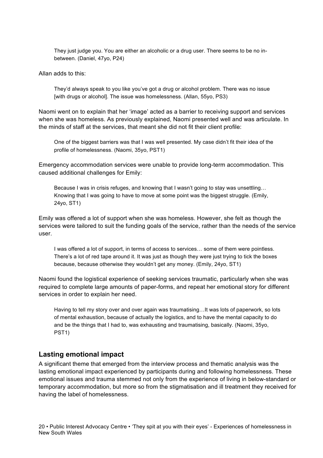They just judge you. You are either an alcoholic or a drug user. There seems to be no inbetween. (Daniel, 47yo, P24)

Allan adds to this:

They'd always speak to you like you've got a drug or alcohol problem. There was no issue [with drugs or alcohol]. The issue was homelessness. (Allan, 55yo, PS3)

Naomi went on to explain that her 'image' acted as a barrier to receiving support and services when she was homeless. As previously explained, Naomi presented well and was articulate. In the minds of staff at the services, that meant she did not fit their client profile:

One of the biggest barriers was that I was well presented. My case didn't fit their idea of the profile of homelessness. (Naomi, 35yo, PST1)

Emergency accommodation services were unable to provide long-term accommodation. This caused additional challenges for Emily:

Because I was in crisis refuges, and knowing that I wasn't going to stay was unsettling... Knowing that I was going to have to move at some point was the biggest struggle. (Emily, 24yo, ST1)

Emily was offered a lot of support when she was homeless. However, she felt as though the services were tailored to suit the funding goals of the service, rather than the needs of the service user.

I was offered a lot of support, in terms of access to services… some of them were pointless. There's a lot of red tape around it. It was just as though they were just trying to tick the boxes because, because otherwise they wouldn't get any money. (Emily, 24yo, ST1)

Naomi found the logistical experience of seeking services traumatic, particularly when she was required to complete large amounts of paper-forms, and repeat her emotional story for different services in order to explain her need.

Having to tell my story over and over again was traumatising…It was lots of paperwork, so lots of mental exhaustion, because of actually the logistics, and to have the mental capacity to do and be the things that I had to, was exhausting and traumatising, basically. (Naomi, 35yo, PST1)

#### **Lasting emotional impact**

A significant theme that emerged from the interview process and thematic analysis was the lasting emotional impact experienced by participants during and following homelessness. These emotional issues and trauma stemmed not only from the experience of living in below-standard or temporary accommodation, but more so from the stigmatisation and ill treatment they received for having the label of homelessness.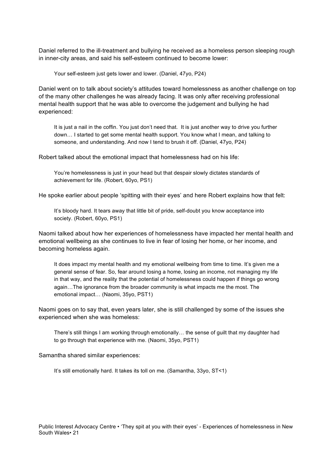Daniel referred to the ill-treatment and bullying he received as a homeless person sleeping rough in inner-city areas, and said his self-esteem continued to become lower:

Your self-esteem just gets lower and lower. (Daniel, 47yo, P24)

Daniel went on to talk about society's attitudes toward homelessness as another challenge on top of the many other challenges he was already facing. It was only after receiving professional mental health support that he was able to overcome the judgement and bullying he had experienced:

It is just a nail in the coffin. You just don't need that. It is just another way to drive you further down… I started to get some mental health support. You know what I mean, and talking to someone, and understanding. And now I tend to brush it off. (Daniel, 47yo, P24)

Robert talked about the emotional impact that homelessness had on his life:

You're homelessness is just in your head but that despair slowly dictates standards of achievement for life. (Robert, 60yo, PS1)

He spoke earlier about people 'spitting with their eyes' and here Robert explains how that felt:

It's bloody hard. It tears away that little bit of pride, self-doubt you know acceptance into society. (Robert, 60yo, PS1)

Naomi talked about how her experiences of homelessness have impacted her mental health and emotional wellbeing as she continues to live in fear of losing her home, or her income, and becoming homeless again.

It does impact my mental health and my emotional wellbeing from time to time. It's given me a general sense of fear. So, fear around losing a home, losing an income, not managing my life in that way, and the reality that the potential of homelessness could happen if things go wrong again…The ignorance from the broader community is what impacts me the most. The emotional impact… (Naomi, 35yo, PST1)

Naomi goes on to say that, even years later, she is still challenged by some of the issues she experienced when she was homeless:

There's still things I am working through emotionally… the sense of guilt that my daughter had to go through that experience with me. (Naomi, 35yo, PST1)

Samantha shared similar experiences:

It's still emotionally hard. It takes its toll on me. (Samantha, 33yo, ST<1)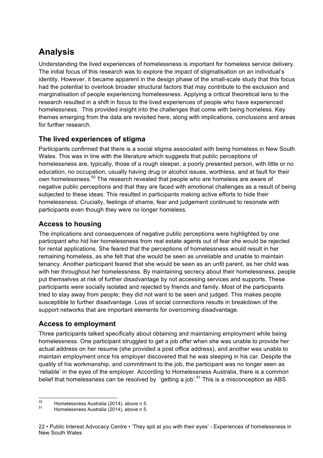# **Analysis**

Understanding the lived experiences of homelessness is important for homeless service delivery. The initial focus of this research was to explore the impact of stigmatisation on an individual's identity. However, it became apparent in the design phase of the small-scale study that this focus had the potential to overlook broader structural factors that may contribute to the exclusion and marginalisation of people experiencing homelessness. Applying a critical theoretical lens to the research resulted in a shift in focus to the lived experiences of people who have experienced homelessness. This provided insight into the challenges that come with being homeless. Key themes emerging from the data are revisited here, along with implications, conclusions and areas for further research.

### **The lived experiences of stigma**

Participants confirmed that there is a social stigma associated with being homeless in New South Wales. This was in line with the literature which suggests that public perceptions of homelessness are, typically, those of a rough sleeper, a poorly presented person, with little or no education, no occupation, usually having drug or alcohol issues, worthless, and at fault for their own homelessness.<sup>50</sup> The research revealed that people who are homeless are aware of negative public perceptions and that they are faced with emotional challenges as a result of being subjected to these ideas. This resulted in participants making active efforts to hide their homelessness. Crucially, feelings of shame, fear and judgement continued to resonate with participants even though they were no longer homeless.

### **Access to housing**

The implications and consequences of negative public perceptions were highlighted by one participant who hid her homelessness from real estate agents out of fear she would be rejected for rental applications. She feared that the perceptions of homelessness would result in her remaining homeless, as she felt that she would be seen as unreliable and unable to maintain tenancy. Another participant feared that she would be seen as an unfit parent, as her child was with her throughout her homelessness. By maintaining secrecy about their homelessness, people put themselves at risk of further disadvantage by not accessing services and supports. These participants were socially isolated and rejected by friends and family. Most of the participants tried to stay away from people; they did not want to be seen and judged. This makes people susceptible to further disadvantage. Loss of social connections results in breakdown of the support networks that are important elements for overcoming disadvantage.

### **Access to employment**

Three participants talked specifically about obtaining and maintaining employment while being homelessness. One participant struggled to get a job offer when she was unable to provide her actual address on her resume (she provided a post office address), and another was unable to maintain employment once his employer discovered that he was sleeping in his car. Despite the quality of his workmanship, and commitment to the job, the participant was no longer seen as 'reliable' in the eyes of the employer. According to Homelessness Australia, there is a common belief that homelessness can be resolved by 'getting a job'.<sup>51</sup> This is a misconception as ABS

<sup>&</sup>lt;sup>50</sup> Homelessness Australia (2014), above n 5.<br><sup>51</sup> Homelessness Australia (2014), above n 5.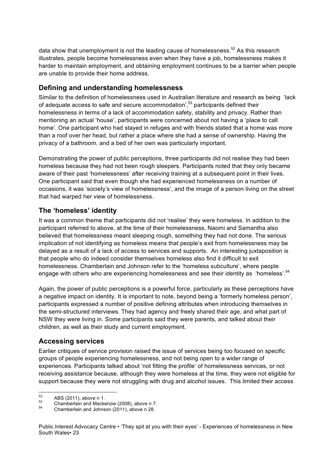data show that unemployment is not the leading cause of homelessness.<sup>52</sup> As this research illustrates, people become homelessness even when they have a job, homelessness makes it harder to maintain employment, and obtaining employment continues to be a barrier when people are unable to provide their home address.

### **Defining and understanding homelessness**

Similar to the definition of homelessness used in Australian literature and research as being 'lack of adequate access to safe and secure accommodation',<sup>53</sup> participants defined their homelessness in terms of a lack of accommodation safety, stability and privacy. Rather than mentioning an actual 'house', participants were concerned about not having a 'place to call home'. One participant who had stayed in refuges and with friends stated that a home was more than a roof over her head, but rather a place where she had a sense of ownership. Having the privacy of a bathroom, and a bed of her own was particularly important.

Demonstrating the power of public perceptions, three participants did not realise they had been homeless because they had not been rough sleepers. Participants noted that they only became aware of their past 'homelessness' after receiving training at a subsequent point in their lives. One participant said that even though she had experienced homelessness on a number of occasions, it was 'society's view of homelessness', and the image of a person living on the street that had warped her view of homelessness.

### **The 'homeless' identity**

It was a common theme that participants did not 'realise' they were homeless. In addition to the participant referred to above, at the time of their homelessness, Naomi and Samantha also believed that homelessness meant sleeping rough, something they had not done. The serious implication of not identifying as homeless means that people's exit from homelessness may be delayed as a result of a lack of access to services and supports. An interesting juxtaposition is that people who do indeed consider themselves homeless also find it difficult to exit homelessness. Chamberlain and Johnson refer to the 'homeless subculture', where people engage with others who are experiencing homelessness and see their identity as 'homeless'.<sup>54</sup>

Again, the power of public perceptions is a powerful force, particularly as these perceptions have a negative impact on identity. It is important to note, beyond being a 'formerly homeless person', participants expressed a number of positive defining attributes when introducing themselves in the semi-structured interviews. They had agency and freely shared their age, and what part of NSW they were living in. Some participants said they were parents, and talked about their children, as well as their study and current employment.

### **Accessing services**

Earlier critiques of service provision raised the issue of services being too focused on specific groups of people experiencing homelessness, and not being open to a wider range of experiences. Participants talked about 'not fitting the profile' of homelessness services, or not receiving assistance because, although they were homeless at the time, they were not eligible for support because they were not struggling with drug and alcohol issues. This limited their access

<sup>52</sup> ABS (2011), above n 1.<br>53 Chamberlain and Mackenzie (2008), above n 7.<br>54 Chamberlain and Johnson (2011), above n 28.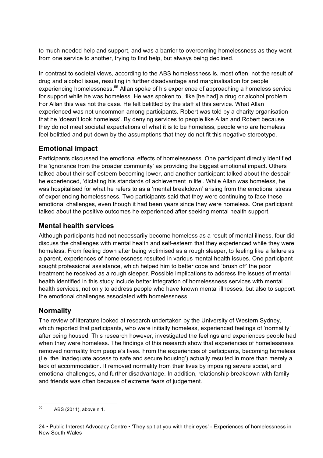to much-needed help and support, and was a barrier to overcoming homelessness as they went from one service to another, trying to find help, but always being declined.

In contrast to societal views, according to the ABS homelessness is, most often, not the result of drug and alcohol issue, resulting in further disadvantage and marginalisation for people experiencing homelessness.<sup>55</sup> Allan spoke of his experience of approaching a homeless service for support while he was homeless. He was spoken to, 'like [he had] a drug or alcohol problem'. For Allan this was not the case. He felt belittled by the staff at this service. What Allan experienced was not uncommon among participants. Robert was told by a charity organisation that he 'doesn't look homeless'. By denying services to people like Allan and Robert because they do not meet societal expectations of what it is to be homeless, people who are homeless feel belittled and put-down by the assumptions that they do not fit this negative stereotype.

### **Emotional impact**

Participants discussed the emotional effects of homelessness. One participant directly identified the 'ignorance from the broader community' as providing the biggest emotional impact. Others talked about their self-esteem becoming lower, and another participant talked about the despair he experienced, 'dictating his standards of achievement in life'. While Allan was homeless, he was hospitalised for what he refers to as a 'mental breakdown' arising from the emotional stress of experiencing homelessness. Two participants said that they were continuing to face these emotional challenges, even though it had been years since they were homeless. One participant talked about the positive outcomes he experienced after seeking mental health support.

### **Mental health services**

Although participants had not necessarily become homeless as a result of mental illness, four did discuss the challenges with mental health and self-esteem that they experienced while they were homeless. From feeling down after being victimised as a rough sleeper, to feeling like a failure as a parent, experiences of homelessness resulted in various mental health issues. One participant sought professional assistance, which helped him to better cope and 'brush off' the poor treatment he received as a rough sleeper. Possible implications to address the issues of mental health identified in this study include better integration of homelessness services with mental health services, not only to address people who have known mental illnesses, but also to support the emotional challenges associated with homelessness.

### **Normality**

The review of literature looked at research undertaken by the University of Western Sydney, which reported that participants, who were initially homeless, experienced feelings of 'normality' after being housed. This research however, investigated the feelings and experiences people had when they were homeless. The findings of this research show that experiences of homelessness removed normality from people's lives. From the experiences of participants, becoming homeless (i.e. the 'inadequate access to safe and secure housing') actually resulted in more than merely a lack of accommodation. It removed normality from their lives by imposing severe social, and emotional challenges, and further disadvantage. In addition, relationship breakdown with family and friends was often because of extreme fears of judgement.

 <sup>55</sup> ABS (2011), above n 1.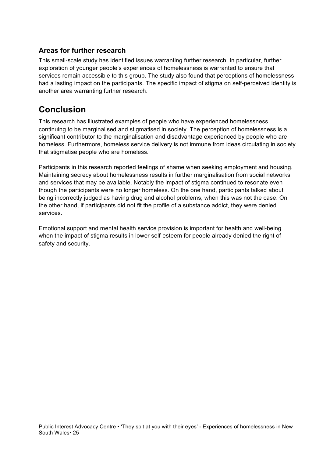#### **Areas for further research**

This small-scale study has identified issues warranting further research. In particular, further exploration of younger people's experiences of homelessness is warranted to ensure that services remain accessible to this group. The study also found that perceptions of homelessness had a lasting impact on the participants. The specific impact of stigma on self-perceived identity is another area warranting further research.

### **Conclusion**

This research has illustrated examples of people who have experienced homelessness continuing to be marginalised and stigmatised in society. The perception of homelessness is a significant contributor to the marginalisation and disadvantage experienced by people who are homeless. Furthermore, homeless service delivery is not immune from ideas circulating in society that stigmatise people who are homeless.

Participants in this research reported feelings of shame when seeking employment and housing. Maintaining secrecy about homelessness results in further marginalisation from social networks and services that may be available. Notably the impact of stigma continued to resonate even though the participants were no longer homeless. On the one hand, participants talked about being incorrectly judged as having drug and alcohol problems, when this was not the case. On the other hand, if participants did not fit the profile of a substance addict, they were denied services.

Emotional support and mental health service provision is important for health and well-being when the impact of stigma results in lower self-esteem for people already denied the right of safety and security.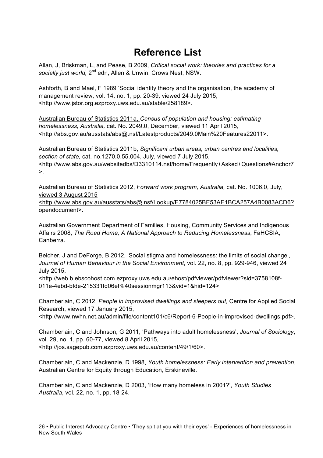# **Reference List**

Allan, J, Briskman, L, and Pease, B 2009, *Critical social work: theories and practices for a*  socially just world, 2<sup>nd</sup> edn, Allen & Unwin, Crows Nest, NSW.

Ashforth, B and Mael, F 1989 'Social identity theory and the organisation, the academy of management review, vol. 14, no. 1, pp. 20-39, viewed 24 July 2015, <http://www.jstor.org.ezproxy.uws.edu.au/stable/258189>.

Australian Bureau of Statistics 2011a, *Census of population and housing: estimating homelessness, Australia,* cat. No. 2049.0, December, viewed 11 April 2015, <http://abs.gov.au/ausstats/abs@.nsf/Latestproducts/2049.0Main%20Features22011>.

Australian Bureau of Statistics 2011b, *Significant urban areas, urban centres and localities, section of state,* cat. no.1270.0.55.004, July, viewed 7 July 2015, <http://www.abs.gov.au/websitedbs/D3310114.nsf/home/Frequently+Asked+Questions#Anchor7  $\geq$ .

Australian Bureau of Statistics 2012, *Forward work program, Australia,* cat. No. 1006.0, July, viewed 3 August 2015 <http://www.abs.gov.au/ausstats/abs@.nsf/Lookup/E7784025BE53AE1BCA257A4B0083ACD6? opendocument>.

Australian Government Department of Families, Housing, Community Services and Indigenous Affairs 2008, *The Road Home, A National Approach to Reducing Homelessness*, FaHCSIA, Canberra.

Belcher, J and DeForge, B 2012, 'Social stigma and homelessness: the limits of social change', *Journal of Human Behaviour in the Social Environment*, vol. 22, no. 8, pp. 929-946, viewed 24 July 2015,

<http://web.b.ebscohost.com.ezproxy.uws.edu.au/ehost/pdfviewer/pdfviewer?sid=3758108f-011e-4ebd-bfde-215331fd06ef%40sessionmgr113&vid=1&hid=124>.

Chamberlain, C 2012, *People in improvised dwellings and sleepers out,* Centre for Applied Social Research, viewed 17 January 2015,

<http://www.nwhn.net.au/admin/file/content101/c6/Report-6-People-in-improvised-dwellings.pdf>.

Chamberlain, C and Johnson, G 2011, 'Pathways into adult homelessness', *Journal of Sociology*, vol. 29, no. 1, pp. 60-77, viewed 8 April 2015, <http://jos.sagepub.com.ezproxy.uws.edu.au/content/49/1/60>.

Chamberlain, C and Mackenzie, D 1998, *Youth homelessness: Early intervention and prevention*, Australian Centre for Equity through Education, Erskineville.

Chamberlain, C and Mackenzie, D 2003, 'How many homeless in 2001?', *Youth Studies Australia*, vol. 22, no. 1, pp. 18-24.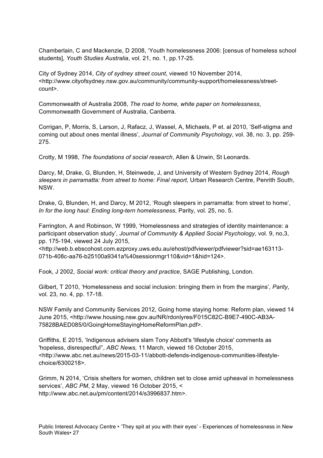Chamberlain, C and Mackenzie, D 2008, 'Youth homelessness 2006: [census of homeless school students], *Youth Studies Australia*, vol. 21, no. 1, pp.17-25.

City of Sydney 2014, *City of sydney street count*, viewed 10 November 2014, <http://www.cityofsydney.nsw.gov.au/community/community-support/homelessness/streetcount>.

Commonwealth of Australia 2008, *The road to home, white paper on homelessness*, Commonwealth Government of Australia, Canberra.

Corrigan, P, Morris, S, Larson, J, Rafacz, J, Wassel, A, Michaels, P et. al 2010, 'Self-stigma and coming out about ones mental illness', *Journal of Community Psychology*, vol. 38, no. 3, pp. 259- 275.

Crotty, M 1998, *The foundations of social research*, Allen & Unwin, St Leonards.

Darcy, M, Drake, G, Blunden, H, Steinwede, J, and University of Western Sydney 2014, *Rough sleepers in parramatta: from street to home: Final report,* Urban Research Centre, Penrith South, NSW.

Drake, G, Blunden, H, and Darcy, M 2012, 'Rough sleepers in parramatta: from street to home', *In for the long haul: Ending long-tern homelessness*, Parity, vol. 25, no. 5.

Farrington, A and Robinson, W 1999, 'Homelessness and strategies of identity maintenance: a participant observation study', *Journal of Community & Applied Social Psychology*, vol. 9, no,3, pp. 175-194, viewed 24 July 2015,

<http://web.b.ebscohost.com.ezproxy.uws.edu.au/ehost/pdfviewer/pdfviewer?sid=ae163113- 071b-408c-aa76-b25100a9341a%40sessionmgr110&vid=1&hid=124>.

Fook, J 2002, *Social work: critical theory and practice*, SAGE Publishing, London.

Gilbert, T 2010, 'Homelessness and social inclusion: bringing them in from the margins', *Parity*, vol. 23, no. 4, pp. 17-18.

NSW Family and Community Services 2012, Going home staying home: Reform plan, viewed 14 June 2015, <http://www.housing.nsw.gov.au/NR/rdonlyres/F015C82C-B9E7-490C-AB3A-75828BAED085/0/GoingHomeStayingHomeReformPlan.pdf>.

Griffiths, E 2015, 'Indigenous advisers slam Tony Abbott's 'lifestyle choice' comments as 'hopeless, disrespectful'', *ABC News,* 11 March, viewed 16 October 2015, <http://www.abc.net.au/news/2015-03-11/abbott-defends-indigenous-communities-lifestylechoice/6300218>.

Grimm, N 2014, 'Crisis shelters for women, children set to close amid upheaval in homelessness services', *ABC PM*, 2 May, viewed 16 October 2015, < http://www.abc.net.au/pm/content/2014/s3996837.htm>.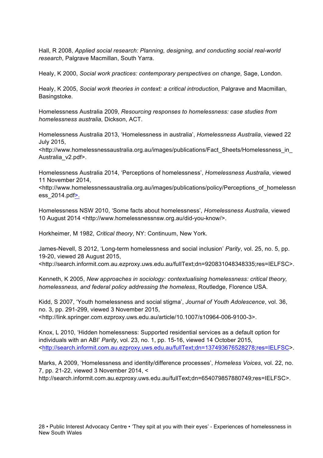Hall, R 2008, *Applied social research: Planning, designing, and conducting social real-world research*, Palgrave Macmillan, South Yarra.

Healy, K 2000, *Social work practices: contemporary perspectives on change*, Sage, London.

Healy, K 2005, *Social work theories in context: a critical introduction*, Palgrave and Macmillan, Basingstoke.

Homelessness Australia 2009, *Resourcing responses to homelessness: case studies from homelessness australia*, Dickson, ACT.

Homelessness Australia 2013, 'Homelessness in australia', *Homelessness Australia*, viewed 22 July 2015,

<http://www.homelessnessaustralia.org.au/images/publications/Fact\_Sheets/Homelessness\_in\_ Australia\_v2.pdf>.

Homelessness Australia 2014, 'Perceptions of homelessness', *Homelessness Australia*, viewed 11 November 2014,

<http://www.homelessnessaustralia.org.au/images/publications/policy/Perceptions\_of\_homelessn ess\_2014.pdf>.

Homelessness NSW 2010, 'Some facts about homelessness', *Homelessness Australia*, viewed 10 August 2014 <http://www.homelessnessnsw.org.au/did-you-know/>.

Horkheimer, M 1982, *Critical theory*, NY: Continuum, New York.

James-Nevell, S 2012, 'Long-term homelessness and social inclusion' *Parity*, vol. 25, no. 5, pp. 19-20, viewed 28 August 2015,

<http://search.informit.com.au.ezproxy.uws.edu.au/fullText;dn=920831048348335;res=IELFSC>.

Kenneth, K 2005, *New approaches in sociology: contextualising homelessness: critical theory, homelessness, and federal policy addressing the homeless*, Routledge, Florence USA.

Kidd, S 2007, 'Youth homelessness and social stigma', *Journal of Youth Adolescence*, vol. 36, no. 3, pp. 291-299, viewed 3 November 2015, <http://link.springer.com.ezproxy.uws.edu.au/article/10.1007/s10964-006-9100-3>.

Knox, L 2010, 'Hidden homelessness: Supported residential services as a default option for individuals with an ABI' *Parity*, vol. 23, no. 1, pp. 15-16, viewed 14 October 2015, <http://search.informit.com.au.ezproxy.uws.edu.au/fullText;dn=137493676528278;res=IELFSC>.

Marks, A 2009, 'Homelessness and identity/difference processes', *Homeless Voices*, vol. 22, no. 7, pp. 21-22, viewed 3 November 2014, < http://search.informit.com.au.ezproxy.uws.edu.au/fullText:dn=654079857880749;res=IELFSC>.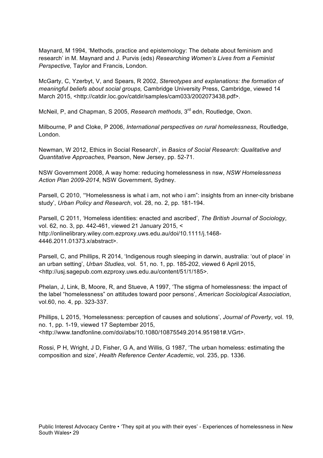Maynard, M 1994, 'Methods, practice and epistemology: The debate about feminism and research' in M. Maynard and J. Purvis (eds) *Researching Women's Lives from a Feminist Perspective,* Taylor and Francis, London.

McGarty, C, Yzerbyt, V, and Spears, R 2002, *Stereotypes and explanations: the formation of meaningful beliefs about social groups,* Cambridge University Press, Cambridge, viewed 14 March 2015, <http://catdir.loc.gov/catdir/samples/cam033/2002073438.pdf>.

McNeil, P, and Chapman, S 2005, *Research methods*, 3<sup>rd</sup> edn, Routledge, Oxon.

Milbourne, P and Cloke, P 2006, *International perspectives on rural homelessness*, Routledge, London.

Newman, W 2012, Ethics in Social Research', in *Basics of Social Research: Qualitative and Quantitative Approaches,* Pearson, New Jersey, pp. 52-71.

NSW Government 2008, A way home: reducing homelessness in nsw, *NSW Homelessness Action Plan 2009-2014*, NSW Government, Sydney.

Parsell, C 2010, '"Homelessness is what i am, not who i am": insights from an inner-city brisbane study', *Urban Policy and Research*, vol. 28, no. 2, pp. 181-194.

Parsell, C 2011, 'Homeless identities: enacted and ascribed', *The British Journal of Sociology*, vol. 62, no. 3, pp. 442-461, viewed 21 January 2015, < http://onlinelibrary.wiley.com.ezproxy.uws.edu.au/doi/10.1111/j.1468- 4446.2011.01373.x/abstract>.

Parsell, C, and Phillips, R 2014, 'Indigenous rough sleeping in darwin, australia: 'out of place' in an urban setting', *Urban Studies*, vol. 51, no. 1, pp. 185-202, viewed 6 April 2015, <http://usj.sagepub.com.ezproxy.uws.edu.au/content/51/1/185>.

Phelan, J, Link, B, Moore, R, and Stueve, A 1997, 'The stigma of homelessness: the impact of the label "homelessness" on attitudes toward poor persons', *American Sociological Association*, vol.60, no. 4, pp. 323-337.

Phillips, L 2015, 'Homelessness: perception of causes and solutions', *Journal of Poverty*, vol. 19, no. 1, pp. 1-19, viewed 17 September 2015, <http://www.tandfonline.com/doi/abs/10.1080/10875549.2014.951981#.VGrt>.

Rossi, P H, Wright, J D, Fisher, G A, and Willis, G 1987, 'The urban homeless: estimating the composition and size', *Health Reference Center Academic*, vol. 235, pp. 1336.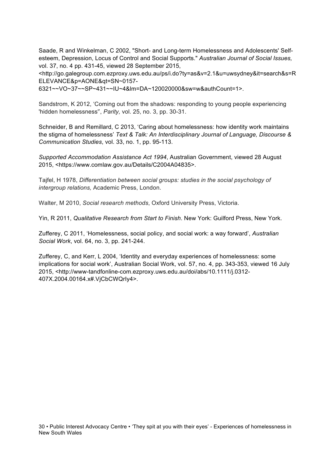Saade, R and Winkelman, C 2002, "Short- and Long-term Homelessness and Adolescents' Selfesteem, Depression, Locus of Control and Social Supports." *Australian Journal of Social Issues,* vol. 37, no. 4 pp. 431-45, viewed 28 September 2015,

<http://go.galegroup.com.ezproxy.uws.edu.au/ps/i.do?ty=as&v=2.1&u=uwsydney&it=search&s=R ELEVANCE&p=AONE&qt=SN~0157-

6321~~VO~37~~SP~431~~IU~4&lm=DA~120020000&sw=w&authCount=1>.

Sandstrom, K 2012, 'Coming out from the shadows: responding to young people experiencing 'hidden homelessness'', *Parity,* vol. 25, no. 3, pp. 30-31.

Schneider, B and Remillard, C 2013, 'Caring about homelessness: how identity work maintains the stigma of homelessness' *Text & Talk: An Interdisciplinary Journal of Language, Discourse & Communication Studies*, vol. 33, no. 1, pp. 95-113.

*Supported Accommodation Assistance Act 1994*, Australian Government, viewed 28 August 2015, <https://www.comlaw.gov.au/Details/C2004A04835>.

Tajfel, H 1978, *Differentiation between social groups: studies in the social psychology of intergroup relations,* Academic Press, London.

Walter, M 2010, *Social research methods*, Oxford University Press, Victoria.

Yin, R 2011, *Qualitative Research from Start to Finish*. New York: Guilford Press, New York.

Zufferey, C 2011, 'Homelessness, social policy, and social work: a way forward', *Australian Social Work*, vol. 64, no. 3, pp. 241-244.

Zufferey, C, and Kerr, L 2004, 'Identity and everyday experiences of homelessness: some implications for social work', Australian Social Work, vol. 57, no. 4, pp. 343-353, viewed 16 July 2015, <http://www-tandfonline-com.ezproxy.uws.edu.au/doi/abs/10.1111/j.0312- 407X.2004.00164.x#.VjCbCWQrIy4>.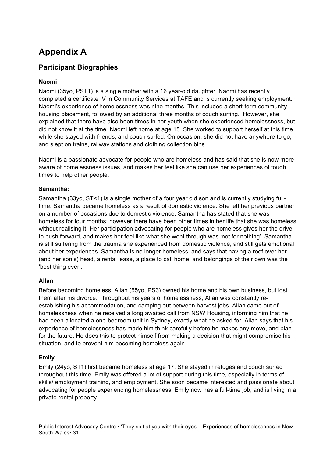# **Appendix A**

### **Participant Biographies**

#### **Naomi**

Naomi (35yo, PST1) is a single mother with a 16 year-old daughter. Naomi has recently completed a certificate IV in Community Services at TAFE and is currently seeking employment. Naomi's experience of homelessness was nine months. This included a short-term communityhousing placement, followed by an additional three months of couch surfing. However, she explained that there have also been times in her youth when she experienced homelessness, but did not know it at the time. Naomi left home at age 15. She worked to support herself at this time while she stayed with friends, and couch surfed. On occasion, she did not have anywhere to go, and slept on trains, railway stations and clothing collection bins.

Naomi is a passionate advocate for people who are homeless and has said that she is now more aware of homelessness issues, and makes her feel like she can use her experiences of tough times to help other people.

#### **Samantha:**

Samantha (33yo, ST<1) is a single mother of a four year old son and is currently studying fulltime. Samantha became homeless as a result of domestic violence. She left her previous partner on a number of occasions due to domestic violence. Samantha has stated that she was homeless for four months; however there have been other times in her life that she was homeless without realising it. Her participation advocating for people who are homeless gives her the drive to push forward, and makes her feel like what she went through was 'not for nothing'. Samantha is still suffering from the trauma she experienced from domestic violence, and still gets emotional about her experiences. Samantha is no longer homeless, and says that having a roof over her (and her son's) head, a rental lease, a place to call home, and belongings of their own was the 'best thing ever'.

#### **Allan**

Before becoming homeless, Allan (55yo, PS3) owned his home and his own business, but lost them after his divorce. Throughout his years of homelessness, Allan was constantly reestablishing his accommodation, and camping out between harvest jobs. Allan came out of homelessness when he received a long awaited call from NSW Housing, informing him that he had been allocated a one-bedroom unit in Sydney, exactly what he asked for. Allan says that his experience of homelessness has made him think carefully before he makes any move, and plan for the future. He does this to protect himself from making a decision that might compromise his situation, and to prevent him becoming homeless again.

#### **Emily**

Emily (24yo, ST1) first became homeless at age 17. She stayed in refuges and couch surfed throughout this time. Emily was offered a lot of support during this time, especially in terms of skills/ employment training, and employment. She soon became interested and passionate about advocating for people experiencing homelessness. Emily now has a full-time job, and is living in a private rental property.